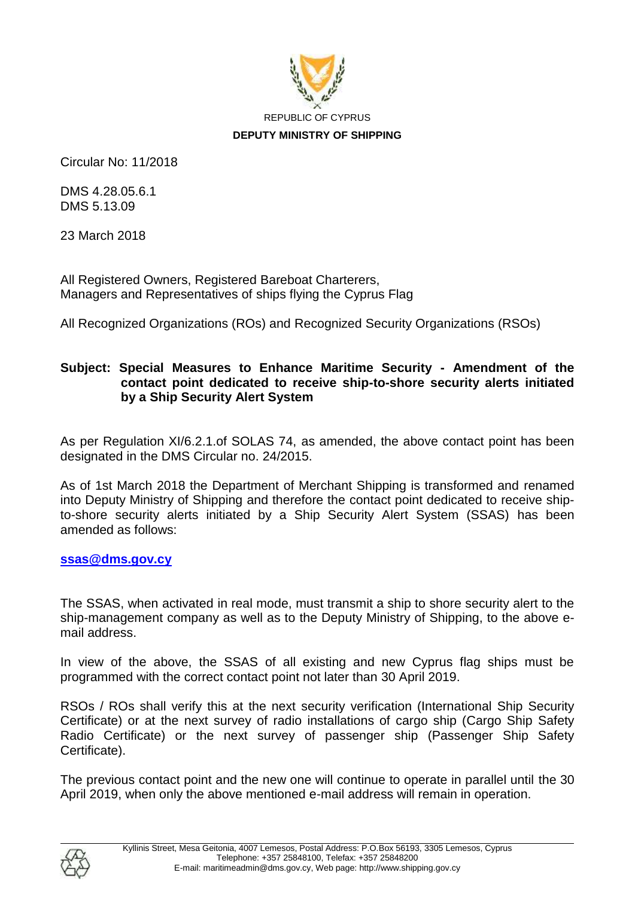

Circular No: 11/2018

DMS 4.28.05.6.1 DMS 5.13.09

23 March 2018

All Registered Owners, Registered Bareboat Charterers, Managers and Representatives of ships flying the Cyprus Flag

All Recognized Organizations (ROs) and Recognized Security Organizations (RSOs)

## **Subject: Special Measures to Enhance Maritime Security - Amendment of the contact point dedicated to receive ship-to-shore security alerts initiated by a Ship Security Alert System**

As per Regulation XI/6.2.1.of SOLAS 74, as amended, the above contact point has been designated in the DMS Circular no. 24/2015.

As of 1st March 2018 the Department of Merchant Shipping is transformed and renamed into Deputy Ministry of Shipping and therefore the contact point dedicated to receive shipto-shore security alerts initiated by a Ship Security Alert System (SSAS) has been amended as follows:

## **[ssas@dms.gov.cy](mailto:ssas@dms.gov.cy)**

The SSAS, when activated in real mode, must transmit a ship to shore security alert to the ship-management company as well as to the Deputy Ministry of Shipping, to the above email address.

In view of the above, the SSAS of all existing and new Cyprus flag ships must be programmed with the correct contact point not later than 30 April 2019.

RSOs / ROs shall verify this at the next security verification (International Ship Security Certificate) or at the next survey of radio installations of cargo ship (Cargo Ship Safety Radio Certificate) or the next survey of passenger ship (Passenger Ship Safety Certificate).

The previous contact point and the new one will continue to operate in parallel until the 30 April 2019, when only the above mentioned e-mail address will remain in operation.